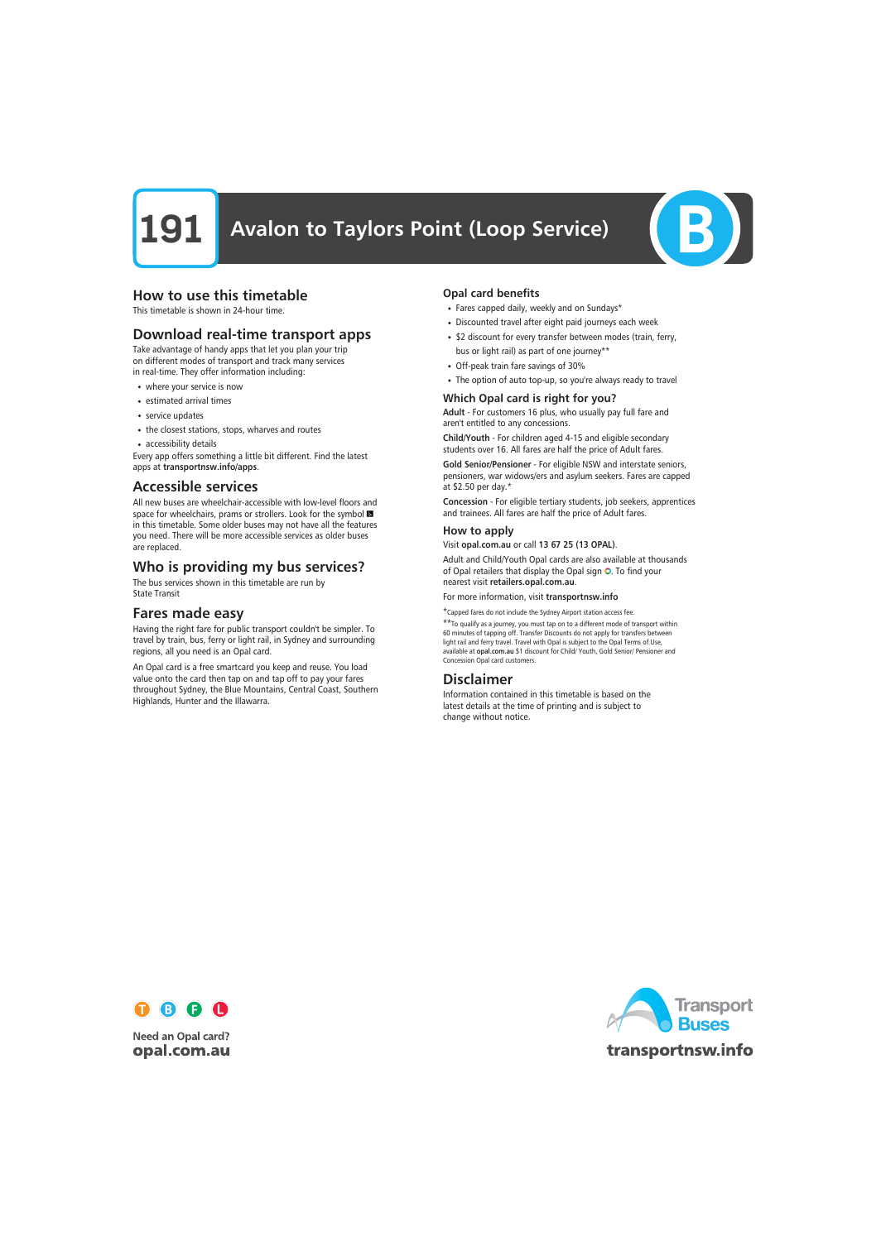# **191** Avalon to Taylors Point (Loop Service)



# How to use this timetable

This timetable is shown in 24-hour time.

# Download real-time transport apps

Take advantage of handy apps that let you plan your trip on different modes of transport and track many services in real-time. They offer information including:

- where your service is now
- estimated arrival times
- service updates
- the closest stations, stops, wharves and routes
- accessibility details

Every app offers something a little bit different. Find the latest apps at transportnsw.info/apps.

### Accessible services

All new buses are wheelchair-accessible with low-level floors and space for wheelchairs, prams or strollers. Look for the symbol in this timetable. Some older buses may not have all the features you need. There will be more accessible services as older buses are replaced.

# Who is providing my bus services?

The bus services shown in this timetable are run by State Transit

# Fares made easy

Having the right fare for public transport couldn't be simpler. To travel by train, bus, ferry or light rail, in Sydney and surrounding regions, all you need is an Opal card.

An Opal card is a free smartcard you keep and reuse. You load value onto the card then tap on and tap off to pay your fares throughout Sydney, the Blue Mountains, Central Coast, Southern Highlands, Hunter and the Illawarra.

### Opal card benefits

- Fares capped daily, weekly and on Sundays\*
- Discounted travel after eight paid journeys each week
- \$2 discount for every transfer between modes (train, ferry, bus or light rail) as part of one journey\*\*
- Off-peak train fare savings of 30%
- The option of auto top-up, so you're always ready to travel

### Which Opal card is right for you?

Adult - For customers 16 plus, who usually pay full fare and aren't entitled to any concessions.

Child/Youth - For children aged 4-15 and eligible secondary students over 16. All fares are half the price of Adult fares.

Gold Senior/Pensioner - For eligible NSW and interstate seniors, pensioners, war widows/ers and asylum seekers. Fares are capped at \$2.50 per day.\*

Concession - For eligible tertiary students, job seekers, apprentices and trainees. All fares are half the price of Adult fares.

#### How to apply

Visit opal.com.au or call 13 67 25 (13 OPAL).

Adult and Child/Youth Opal cards are also available at thousands of Opal retailers that display the Opal sign O. To find your nearest visit retailers.opal.com.au.

For more information, visit transportnsw.info

\*Capped fares do not include the Sydney Airport station access fee. \*\*To qualify as a journey, you must tap on to a different mode of transport within

60 minutes of tapping off. Transfer Discounts do not apply for transfers between light rail and ferry travel. Travel with Opal is subject to the Opal Terms of Use, available at opal.com.au \$1 discount for Child/ Youth, Gold Senior/ Pensioner and Concession Opal card customers.

# Disclaimer

Information contained in this timetable is based on the latest details at the time of printing and is subject to change without notice.



**Need an Opal card?** opal.com.au

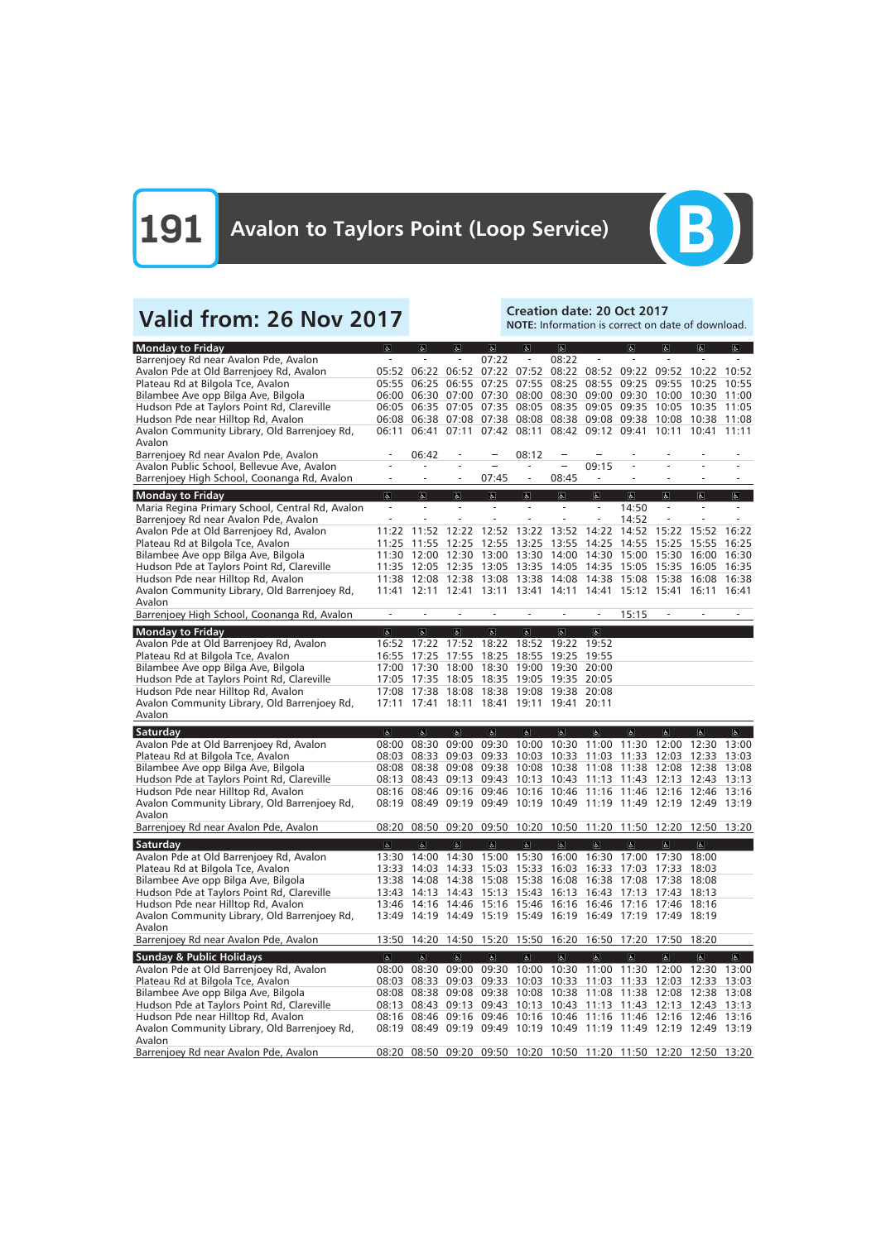

# Valid from: 26 Nov 2017<br>Note: Information is correct on da

NOTE: Information is correct on date of download.

| <b>Monday to Friday</b>                                            | $\sigma$                 | $ \mathbf{f} $                            | $ \mathbf{f} $          | <sub>6</sub>                       | $\sigma$                 | $\sigma$                            |                                                                   | $\sigma$       | $\overline{a}$           | $\sigma$                | $\mathbf{r}$                |
|--------------------------------------------------------------------|--------------------------|-------------------------------------------|-------------------------|------------------------------------|--------------------------|-------------------------------------|-------------------------------------------------------------------|----------------|--------------------------|-------------------------|-----------------------------|
| Barrenjoey Rd near Avalon Pde, Avalon                              |                          |                                           |                         | 07:22                              |                          | 08:22                               |                                                                   |                |                          |                         |                             |
| Avalon Pde at Old Barrenjoey Rd, Avalon                            | 05:52                    | 06:22                                     | 06:52                   |                                    | 07:22 07:52              |                                     | 08:22 08:52                                                       | 09:22          | 09:52                    | 10:22                   | 10:52                       |
| Plateau Rd at Bilgola Tce, Avalon                                  | 05:55                    | 06:25                                     | 06:55                   | 07:25                              | 07:55                    | 08:25                               | 08:55                                                             | 09:25          | 09:55                    | 10:25                   | 10:55                       |
| Bilambee Ave opp Bilga Ave, Bilgola                                |                          | 06:00 06:30                               | 07:00                   | 07:30                              | 08:00                    |                                     | 08:30 09:00 09:30                                                 |                | 10:00                    | 10:30                   | 11:00                       |
| Hudson Pde at Taylors Point Rd, Clareville                         | 06:05                    | 06:35                                     | 07:05                   | 07:35                              |                          | 08:05 08:35                         | 09:05 09:35                                                       |                | 10:05                    | 10:35 11:05             |                             |
| Hudson Pde near Hilltop Rd, Avalon                                 | 06:08                    | 06:38                                     | 07:08                   |                                    | 07:38 08:08              |                                     | 08:38 09:08 09:38                                                 |                | 10:08                    | 10:38 11:08             |                             |
| Avalon Community Library, Old Barrenjoey Rd,                       | 06:11                    | 06:41                                     | 07:11                   | 07:42                              | 08:11                    |                                     | 08:42 09:12 09:41                                                 |                | 10:11                    | 10:41                   | 11:11                       |
| Avalon                                                             |                          |                                           |                         |                                    |                          |                                     |                                                                   |                |                          |                         |                             |
| Barrenjoey Rd near Avalon Pde, Avalon                              |                          | 06:42                                     |                         |                                    | 08:12                    |                                     |                                                                   |                |                          |                         |                             |
| Avalon Public School, Bellevue Ave, Avalon                         |                          |                                           |                         |                                    |                          |                                     | 09:15                                                             |                |                          |                         |                             |
| Barrenjoey High School, Coonanga Rd, Avalon                        |                          |                                           |                         | 07:45                              | $\overline{\phantom{a}}$ | 08:45                               |                                                                   |                |                          |                         |                             |
| <b>Monday to Friday</b>                                            | $\sigma$                 | $\mathbf{r}$                              | $\mathbb{P}$            | $\mathbf{P}$                       | $\mathbb{P}$             | $\mathbf{P}$                        | $\sigma$                                                          | $\sigma$       | $\sigma$                 | $ \mathbf{P} $          | $\mathbb{P}$                |
| Maria Regina Primary School, Central Rd, Avalon                    | $\overline{\phantom{a}}$ | $\sim$                                    | $\sim$                  | $\overline{\phantom{a}}$           |                          | $\sim$                              | $\overline{\phantom{a}}$                                          | 14:50          | $\overline{\phantom{a}}$ |                         |                             |
| Barrenjoey Rd near Avalon Pde, Avalon                              |                          |                                           |                         |                                    |                          |                                     | $\frac{1}{2}$                                                     | 14:52          |                          |                         |                             |
| Avalon Pde at Old Barrenjoey Rd, Avalon                            | 11:22                    | 11:52                                     | 12:22                   | 12:52                              | 13:22                    | 13:52                               | 14:22                                                             | 14:52          | 15:22                    | 15:52                   | 16:22                       |
| Plateau Rd at Bilgola Tce, Avalon                                  | 11:25                    | 11:55                                     | 12:25                   | 12:55                              | 13:25                    | 13:55                               | 14:25                                                             | 14:55          | 15:25                    | 15:55                   | 16:25                       |
| Bilambee Ave opp Bilga Ave, Bilgola                                | 11:30                    | 12:00                                     | 12:30                   | 13:00                              | 13:30 14:00 14:30        |                                     |                                                                   | 15:00          | 15:30                    | 16:00                   | 16:30                       |
| Hudson Pde at Taylors Point Rd, Clareville                         | 11:35                    | 12:05                                     | 12:35                   | 13:05                              | 13:35 14:05              |                                     | 14:35                                                             | 15:05          | 15:35                    | 16:05                   | 16:35                       |
| Hudson Pde near Hilltop Rd, Avalon                                 | 11:38                    | 12:08                                     | 12:38                   | 13:08                              | 13:38                    | 14:08 14:38                         |                                                                   | 15:08          | 15:38                    | 16:08                   | 16:38                       |
| Avalon Community Library, Old Barrenjoey Rd,                       | 11:41                    | 12:11                                     | 12:41                   | 13:11                              | 13:41 14:11              |                                     | 14:41                                                             | 15:12 15:41    |                          | 16:11                   | 16:41                       |
| Avalon                                                             |                          |                                           |                         |                                    |                          |                                     |                                                                   |                |                          |                         |                             |
| Barrenjoey High School, Coonanga Rd, Avalon                        |                          |                                           |                         |                                    |                          |                                     |                                                                   | 15:15          |                          |                         |                             |
|                                                                    |                          | $\overline{6}$                            | $\overline{\mathbf{r}}$ | $\overline{\mathbb{G}}$            | $\overline{d}$           |                                     |                                                                   |                |                          |                         |                             |
| <b>Monday to Friday</b><br>Avalon Pde at Old Barrenjoey Rd, Avalon | $\overline{6}$           | 16:52 17:22 17:52                         |                         | 18:22                              |                          | $\overline{6}$<br>18:52 19:22 19:52 | $\overline{b}$                                                    |                |                          |                         |                             |
|                                                                    | 16:55                    | 17:25                                     | 17:55                   | 18:25                              | 18:55                    | 19:25                               | 19:55                                                             |                |                          |                         |                             |
| Plateau Rd at Bilgola Tce, Avalon                                  | 17:00                    | 17:30                                     | 18:00                   | 18:30                              | 19:00                    | 19:30 20:00                         |                                                                   |                |                          |                         |                             |
| Bilambee Ave opp Bilga Ave, Bilgola                                |                          |                                           |                         |                                    |                          |                                     |                                                                   |                |                          |                         |                             |
| Hudson Pde at Taylors Point Rd, Clareville                         | 17:05                    | 17:35                                     | 18:05                   |                                    | 18:35 19:05 19:35 20:05  |                                     |                                                                   |                |                          |                         |                             |
| Hudson Pde near Hilltop Rd, Avalon                                 | 17:08                    | 17:38                                     | 18:08                   | 18:38                              |                          | 19:08 19:38 20:08                   |                                                                   |                |                          |                         |                             |
|                                                                    |                          |                                           |                         |                                    |                          |                                     |                                                                   |                |                          |                         |                             |
| Avalon Community Library, Old Barrenjoey Rd,                       | 17:11                    | 17:41                                     | 18:11                   | 18:41                              | 19:11                    | 19:41                               | 20:11                                                             |                |                          |                         |                             |
| Avalon                                                             |                          |                                           |                         |                                    |                          |                                     |                                                                   |                |                          |                         |                             |
| Saturday                                                           | $\overline{6}$           | $\overline{6}$                            | $\overline{\mathbf{P}}$ | $\overline{\mathbb{G}}$            | $\overline{d}$           | $\overline{b}$                      | $\overline{\mathbf{g}}$                                           | $\overline{6}$ | $\overline{\mathbf{e}}$  | $\overline{\mathbf{e}}$ | $\overline{\mathbf{r}}$     |
| Avalon Pde at Old Barrenjoey Rd, Avalon                            | 08:00                    | 08:30                                     | 09:00                   | 09:30                              |                          |                                     | 10:00 10:30 11:00 11:30                                           |                | 12:00                    | 12:30 13:00             |                             |
| Plateau Rd at Bilgola Tce, Avalon                                  | 08:03                    | 08:33                                     | 09:03                   | 09:33                              | 10:03                    | 10:33                               | 11:03                                                             | 11:33          | 12:03                    | 12:33                   | 13:03                       |
| Bilambee Ave opp Bilga Ave, Bilgola                                | 08:08                    | 08:38                                     | 09:08                   | 09:38                              | 10:08                    | 10:38                               | 11:08                                                             | 11:38          | 12:08                    | 12:38                   | 13:08                       |
| Hudson Pde at Taylors Point Rd, Clareville                         | 08:13                    | 08:43                                     | 09:13                   | 09:43                              | 10:13                    | 10:43                               | 11:13                                                             | 11:43          | 12:13                    | 12:43                   | 13:13                       |
| Hudson Pde near Hilltop Rd, Avalon                                 | 08:16                    | 08:46                                     | 09:16                   | 09:46                              | 10:16                    | 10:46                               | 11:16                                                             | 11:46          | 12:16                    | 12:46                   | 13:16                       |
| Avalon Community Library, Old Barrenjoey Rd,                       |                          | 08:19 08:49 09:19                         |                         | 09:49                              | 10:19                    | 10:49 11:19                         |                                                                   | 11:49          | 12:19                    | 12:49                   | 13:19                       |
| Avalon                                                             |                          |                                           |                         |                                    |                          |                                     |                                                                   |                |                          |                         |                             |
| Barrenjoey Rd near Avalon Pde, Avalon                              |                          |                                           |                         |                                    |                          |                                     | 08:20 08:50 09:20 09:50 10:20 10:50 11:20 11:50 12:20 12:50 13:20 |                |                          |                         |                             |
| Saturday                                                           | $\overline{6}$           | $\overline{6}$                            | $\sigma$                | $\mathbf{P}$                       | $\mathbf{P}$             | $\mathbf{P}$                        | $\sigma$                                                          | $\sigma$       | $\sigma$                 | $\sigma$                |                             |
| Avalon Pde at Old Barrenjoey Rd, Avalon                            |                          |                                           |                         |                                    |                          |                                     | 13:30 14:00 14:30 15:00 15:30 16:00 16:30 17:00 17:30 18:00       |                |                          |                         |                             |
| Plateau Rd at Bilgola Tce, Avalon                                  |                          | 13:33 14:03                               |                         | 14:33 15:03 15:33 16:03 16:33      |                          |                                     |                                                                   | 17:03          | 17:33 18:03              |                         |                             |
| Bilambee Ave opp Bilga Ave, Bilgola                                |                          |                                           |                         |                                    |                          |                                     | 13:38 14:08 14:38 15:08 15:38 16:08 16:38 17:08 17:38 18:08       |                |                          |                         |                             |
| Hudson Pde at Taylors Point Rd, Clareville                         |                          | 13:43 14:13 14:43 15:13 15:43 16:13 16:43 |                         |                                    |                          |                                     |                                                                   | 17:13          | 17:43 18:13              |                         |                             |
| Hudson Pde near Hilltop Rd, Avalon                                 |                          | 13:46 14:16 14:46 15:16 15:46 16:16 16:46 |                         |                                    |                          |                                     |                                                                   | 17:16          | 17:46 18:16              |                         |                             |
| Avalon Community Library, Old Barrenjoey Rd,                       |                          |                                           |                         |                                    |                          |                                     | 13:49 14:19 14:49 15:19 15:49 16:19 16:49 17:19 17:49 18:19       |                |                          |                         |                             |
| Avalon                                                             |                          |                                           |                         |                                    |                          |                                     |                                                                   |                |                          |                         |                             |
| Barrenjoey Rd near Avalon Pde, Avalon                              | 13:50                    |                                           |                         |                                    |                          |                                     | 14:20 14:50 15:20 15:50 16:20 16:50 17:20 17:50 18:20             |                |                          |                         |                             |
| <b>Sunday &amp; Public Holidays</b>                                | $\overline{\mathbf{e}}$  | $\sigma$                                  | $\overline{\mathbf{r}}$ | $\left\vert \mathbf{g}\right\vert$ | $\mathbf{F}$             | $\mathbf{b}$                        | $\overline{\mathbf{a}}$                                           | $\sigma$       | $\overline{\mathbf{c}}$  | $\overline{a}$          | $\left  \mathbf{F} \right $ |
| Avalon Pde at Old Barrenjoey Rd, Avalon                            |                          |                                           |                         |                                    |                          |                                     | 08:00 08:30 09:00 09:30 10:00 10:30 11:00 11:30 12:00 12:30 13:00 |                |                          |                         |                             |
| Plateau Rd at Bilgola Tce, Avalon                                  | 08:03                    | 08:33                                     | 09:03                   | 09:33                              |                          |                                     | 10:03 10:33 11:03 11:33                                           |                |                          | 12:03 12:33 13:03       |                             |
| Bilambee Ave opp Bilga Ave, Bilgola                                |                          | 08:08 08:38 09:08                         |                         |                                    |                          |                                     | 09:38 10:08 10:38 11:08 11:38 12:08 12:38 13:08                   |                |                          |                         |                             |
| Hudson Pde at Taylors Point Rd, Clareville                         |                          | 08:13 08:43                               | 09:13 09:43             |                                    |                          |                                     | 10:13 10:43 11:13 11:43                                           |                |                          | 12:13 12:43 13:13       |                             |
| Hudson Pde near Hilltop Rd, Avalon                                 |                          |                                           |                         |                                    |                          |                                     | 08:16 08:46 09:16 09:46 10:16 10:46 11:16 11:46                   |                |                          | 12:16 12:46 13:16       |                             |
| Avalon Community Library, Old Barrenjoey Rd,                       |                          |                                           |                         |                                    |                          |                                     | 08:19 08:49 09:19 09:49 10:19 10:49 11:19 11:49 12:19 12:49 13:19 |                |                          |                         |                             |
| Avalon<br>Barrenjoey Rd near Avalon Pde, Avalon                    | 08:20                    |                                           |                         |                                    |                          |                                     | 08:50 09:20 09:50 10:20 10:50 11:20 11:50 12:20 12:50 13:20       |                |                          |                         |                             |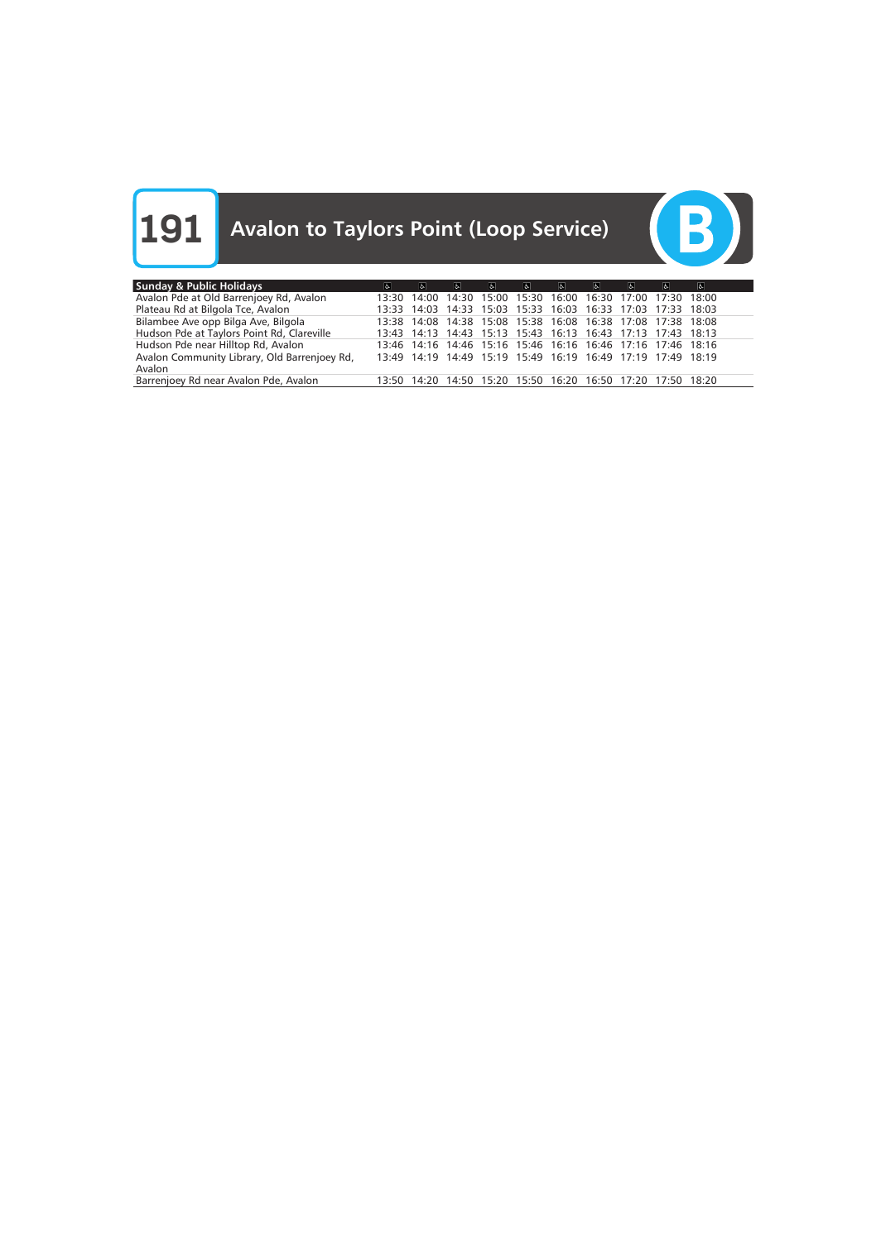

| <b>Sunday &amp; Public Holidays</b>          | $\sigma$ | $\mathbf{F}$ | $\mathbf{r}$ | $ d_{\lambda} $ | 6                                                           | $\mathbf{c}$ | -61 | $\sigma$ | ŀЬ. | $\mathbf{r}$ |
|----------------------------------------------|----------|--------------|--------------|-----------------|-------------------------------------------------------------|--------------|-----|----------|-----|--------------|
| Avalon Pde at Old Barrenjoey Rd, Avalon      |          |              |              |                 | 13:30 14:00 14:30 15:00 15:30 16:00 16:30 17:00 17:30 18:00 |              |     |          |     |              |
| Plateau Rd at Bilgola Tce, Avalon            |          |              |              |                 | 13:33 14:03 14:33 15:03 15:33 16:03 16:33 17:03 17:33 18:03 |              |     |          |     |              |
| Bilambee Ave opp Bilga Ave, Bilgola          |          |              |              |                 | 13:38 14:08 14:38 15:08 15:38 16:08 16:38 17:08 17:38 18:08 |              |     |          |     |              |
| Hudson Pde at Taylors Point Rd, Clareville   |          |              |              |                 | 13:43 14:13 14:43 15:13 15:43 16:13 16:43 17:13 17:43 18:13 |              |     |          |     |              |
| Hudson Pde near Hilltop Rd, Avalon           |          |              |              |                 | 13:46 14:16 14:46 15:16 15:46 16:16 16:46 17:16 17:46 18:16 |              |     |          |     |              |
| Avalon Community Library, Old Barrenjoey Rd, |          |              |              |                 | 13:49 14:19 14:49 15:19 15:49 16:19 16:49 17:19 17:49 18:19 |              |     |          |     |              |
| Avalon                                       |          |              |              |                 |                                                             |              |     |          |     |              |
| Barrenjoey Rd near Avalon Pde, Avalon        |          |              |              |                 | 13:50 14:20 14:50 15:20 15:50 16:20 16:50 17:20 17:50 18:20 |              |     |          |     |              |